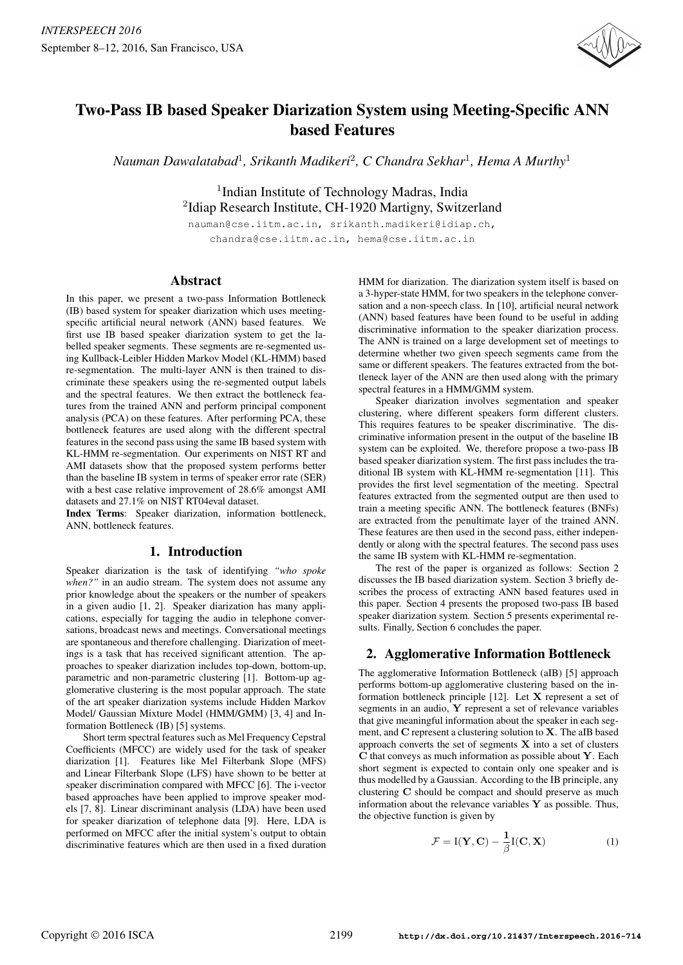

# Two-Pass IB based Speaker Diarization System using Meeting-Specific ANN based Features

*Nauman Dawalatabad*<sup>1</sup>*, Srikanth Madikeri*<sup>2</sup>*, C Chandra Sekhar*<sup>1</sup>*, Hema A Murthy*<sup>1</sup>

<sup>1</sup>Indian Institute of Technology Madras, India <sup>2</sup>Idiap Research Institute, CH-1920 Martigny, Switzerland

nauman@cse.iitm.ac.in, srikanth.madikeri@idiap.ch, chandra@cse.iitm.ac.in, hema@cse.iitm.ac.in

# Abstract

In this paper, we present a two-pass Information Bottleneck (IB) based system for speaker diarization which uses meetingspecific artificial neural network (ANN) based features. We first use IB based speaker diarization system to get the labelled speaker segments. These segments are re-segmented using Kullback-Leibler Hidden Markov Model (KL-HMM) based re-segmentation. The multi-layer ANN is then trained to discriminate these speakers using the re-segmented output labels and the spectral features. We then extract the bottleneck features from the trained ANN and perform principal component analysis (PCA) on these features. After performing PCA, these bottleneck features are used along with the different spectral features in the second pass using the same IB based system with KL-HMM re-segmentation. Our experiments on NIST RT and AMI datasets show that the proposed system performs better than the baseline IB system in terms of speaker error rate (SER) with a best case relative improvement of 28.6% amongst AMI datasets and 27.1% on NIST RT04eval dataset.

Index Terms: Speaker diarization, information bottleneck, ANN, bottleneck features.

# 1. Introduction

Speaker diarization is the task of identifying *"who spoke when?"* in an audio stream. The system does not assume any prior knowledge about the speakers or the number of speakers in a given audio [1, 2]. Speaker diarization has many applications, especially for tagging the audio in telephone conversations, broadcast news and meetings. Conversational meetings are spontaneous and therefore challenging. Diarization of meetings is a task that has received significant attention. The approaches to speaker diarization includes top-down, bottom-up, parametric and non-parametric clustering [1]. Bottom-up agglomerative clustering is the most popular approach. The state of the art speaker diarization systems include Hidden Markov Model/ Gaussian Mixture Model (HMM/GMM) [3, 4] and Information Bottleneck (IB) [5] systems.

Short term spectral features such as Mel Frequency Cepstral Coefficients (MFCC) are widely used for the task of speaker diarization [1]. Features like Mel Filterbank Slope (MFS) and Linear Filterbank Slope (LFS) have shown to be better at speaker discrimination compared with MFCC [6]. The i-vector based approaches have been applied to improve speaker models [7, 8]. Linear discriminant analysis (LDA) have been used for speaker diarization of telephone data [9]. Here, LDA is performed on MFCC after the initial system's output to obtain discriminative features which are then used in a fixed duration HMM for diarization. The diarization system itself is based on a 3-hyper-state HMM, for two speakers in the telephone conversation and a non-speech class. In [10], artificial neural network (ANN) based features have been found to be useful in adding discriminative information to the speaker diarization process. The ANN is trained on a large development set of meetings to determine whether two given speech segments came from the same or different speakers. The features extracted from the bottleneck layer of the ANN are then used along with the primary spectral features in a HMM/GMM system.

Speaker diarization involves segmentation and speaker clustering, where different speakers form different clusters. This requires features to be speaker discriminative. The discriminative information present in the output of the baseline IB system can be exploited. We, therefore propose a two-pass IB based speaker diarization system. The first pass includes the traditional IB system with KL-HMM re-segmentation [11]. This provides the first level segmentation of the meeting. Spectral features extracted from the segmented output are then used to train a meeting specific ANN. The bottleneck features (BNFs) are extracted from the penultimate layer of the trained ANN. These features are then used in the second pass, either independently or along with the spectral features. The second pass uses the same IB system with KL-HMM re-segmentation.

The rest of the paper is organized as follows: Section 2 discusses the IB based diarization system. Section 3 briefly describes the process of extracting ANN based features used in this paper. Section 4 presents the proposed two-pass IB based speaker diarization system. Section 5 presents experimental results. Finally, Section 6 concludes the paper.

# 2. Agglomerative Information Bottleneck

The agglomerative Information Bottleneck (aIB) [5] approach performs bottom-up agglomerative clustering based on the information bottleneck principle [12]. Let **X** represent a set of segments in an audio, **Y** represent a set of relevance variables that give meaningful information about the speaker in each segment, and **C** represent a clustering solution to **X**. The aIB based approach converts the set of segments **X** into a set of clusters **C** that conveys as much information as possible about **Y**. Each short segment is expected to contain only one speaker and is thus modelled by a Gaussian. According to the IB principle, any clustering **C** should be compact and should preserve as much information about the relevance variables **Y** as possible. Thus, the objective function is given by

$$
\mathcal{F} = I(\mathbf{Y}, \mathbf{C}) - \frac{1}{\beta}I(\mathbf{C}, \mathbf{X})
$$
 (1)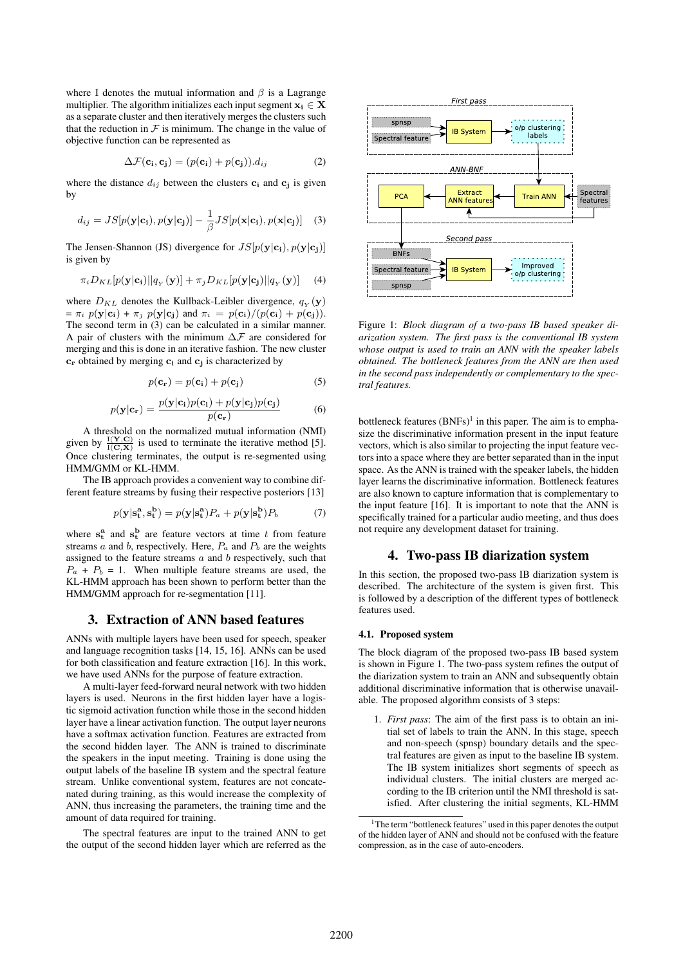where I denotes the mutual information and  $\beta$  is a Lagrange multiplier. The algorithm initializes each input segment  $x_i \in X$ as a separate cluster and then iteratively merges the clusters such that the reduction in  $F$  is minimum. The change in the value of objective function can be represented as

$$
\Delta \mathcal{F}(\mathbf{c_i}, \mathbf{c_j}) = (p(\mathbf{c_i}) + p(\mathbf{c_j})).d_{ij}
$$
 (2)

where the distance  $d_{ij}$  between the clusters  $\mathbf{c_i}$  and  $\mathbf{c_j}$  is given by

$$
d_{ij} = JS[p(\mathbf{y}|\mathbf{c_i}), p(\mathbf{y}|\mathbf{c_j})] - \frac{1}{\beta} JS[p(\mathbf{x}|\mathbf{c_i}), p(\mathbf{x}|\mathbf{c_j})]
$$
(3)

The Jensen-Shannon (JS) divergence for  $JS[p(\mathbf{y}|\mathbf{c_i}), p(\mathbf{y}|\mathbf{c_j})]$ is given by

$$
\pi_i D_{KL}[p(\mathbf{y}|\mathbf{c_i})||q_Y(\mathbf{y})] + \pi_j D_{KL}[p(\mathbf{y}|\mathbf{c_j})||q_Y(\mathbf{y})]
$$
 (4)

where  $D_{KL}$  denotes the Kullback-Leibler divergence,  $q_Y(\mathbf{y})$  $= \pi_i p(\mathbf{y}|\mathbf{c_i}) + \pi_j p(\mathbf{y}|\mathbf{c_j})$  and  $\pi_i = p(\mathbf{c_i})/(p(\mathbf{c_i}) + p(\mathbf{c_j})).$ The second term in (3) can be calculated in a similar manner. A pair of clusters with the minimum  $\Delta \mathcal{F}$  are considered for merging and this is done in an iterative fashion. The new cluster **c<sup>r</sup>** obtained by merging **c<sup>i</sup>** and **c<sup>j</sup>** is characterized by

$$
p(\mathbf{c}_\mathbf{r}) = p(\mathbf{c}_\mathbf{i}) + p(\mathbf{c}_\mathbf{j}) \tag{5}
$$

$$
p(\mathbf{y}|\mathbf{c}_\mathbf{r}) = \frac{p(\mathbf{y}|\mathbf{c}_\mathbf{i})p(\mathbf{c}_\mathbf{i}) + p(\mathbf{y}|\mathbf{c}_\mathbf{j})p(\mathbf{c}_\mathbf{j})}{p(\mathbf{c}_\mathbf{r})}
$$
(6)

A threshold on the normalized mutual information (NMI) given by  $\frac{I(Y, C)}{I(C, X)}$  is used to terminate the iterative method [5]. Once clustering terminates, the output is re-segmented using HMM/GMM or KL-HMM.

The IB approach provides a convenient way to combine different feature streams by fusing their respective posteriors [13]

$$
p(\mathbf{y}|\mathbf{s_t^a}, \mathbf{s_t^b}) = p(\mathbf{y}|\mathbf{s_t^a})P_a + p(\mathbf{y}|\mathbf{s_t^b})P_b \tag{7}
$$

where  $s_t^a$  and  $s_t^b$  are feature vectors at time t from feature streams a and b, respectively. Here,  $P_a$  and  $P_b$  are the weights assigned to the feature streams  $a$  and  $b$  respectively, such that  $P_a + P_b = 1$ . When multiple feature streams are used, the KL-HMM approach has been shown to perform better than the HMM/GMM approach for re-segmentation [11].

# 3. Extraction of ANN based features

ANNs with multiple layers have been used for speech, speaker and language recognition tasks [14, 15, 16]. ANNs can be used for both classification and feature extraction [16]. In this work, we have used ANNs for the purpose of feature extraction.

A multi-layer feed-forward neural network with two hidden layers is used. Neurons in the first hidden layer have a logistic sigmoid activation function while those in the second hidden layer have a linear activation function. The output layer neurons have a softmax activation function. Features are extracted from the second hidden layer. The ANN is trained to discriminate the speakers in the input meeting. Training is done using the output labels of the baseline IB system and the spectral feature stream. Unlike conventional system, features are not concatenated during training, as this would increase the complexity of ANN, thus increasing the parameters, the training time and the amount of data required for training.

The spectral features are input to the trained ANN to get the output of the second hidden layer which are referred as the



Figure 1: *Block diagram of a two-pass IB based speaker diarization system. The first pass is the conventional IB system whose output is used to train an ANN with the speaker labels obtained. The bottleneck features from the ANN are then used in the second pass independently or complementary to the spectral features.*

bottleneck features  $(BNFs)^1$  in this paper. The aim is to emphasize the discriminative information present in the input feature vectors, which is also similar to projecting the input feature vectors into a space where they are better separated than in the input space. As the ANN is trained with the speaker labels, the hidden layer learns the discriminative information. Bottleneck features are also known to capture information that is complementary to the input feature [16]. It is important to note that the ANN is specifically trained for a particular audio meeting, and thus does not require any development dataset for training.

#### 4. Two-pass IB diarization system

In this section, the proposed two-pass IB diarization system is described. The architecture of the system is given first. This is followed by a description of the different types of bottleneck features used.

## 4.1. Proposed system

The block diagram of the proposed two-pass IB based system is shown in Figure 1. The two-pass system refines the output of the diarization system to train an ANN and subsequently obtain additional discriminative information that is otherwise unavailable. The proposed algorithm consists of 3 steps:

1. *First pass*: The aim of the first pass is to obtain an initial set of labels to train the ANN. In this stage, speech and non-speech (spnsp) boundary details and the spectral features are given as input to the baseline IB system. The IB system initializes short segments of speech as individual clusters. The initial clusters are merged according to the IB criterion until the NMI threshold is satisfied. After clustering the initial segments, KL-HMM

<sup>&</sup>lt;sup>1</sup>The term "bottleneck features" used in this paper denotes the output of the hidden layer of ANN and should not be confused with the feature compression, as in the case of auto-encoders.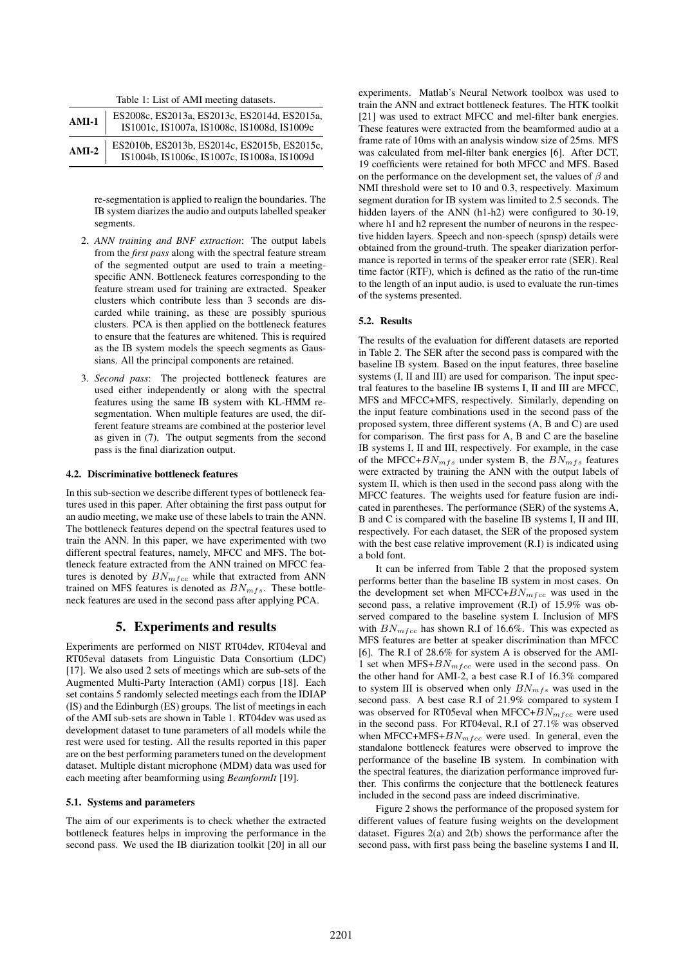Table 1: List of AMI meeting datasets.

| $AMI-1$ | ES2008c, ES2013a, ES2013c, ES2014d, ES2015a,<br>IS1001c, IS1007a, IS1008c, IS1008d, IS1009c |
|---------|---------------------------------------------------------------------------------------------|
| $AMI-2$ | ES2010b, ES2013b, ES2014c, ES2015b, ES2015c,<br>IS1004b, IS1006c, IS1007c, IS1008a, IS1009d |

re-segmentation is applied to realign the boundaries. The IB system diarizes the audio and outputs labelled speaker segments.

- 2. *ANN training and BNF extraction*: The output labels from the *first pass* along with the spectral feature stream of the segmented output are used to train a meetingspecific ANN. Bottleneck features corresponding to the feature stream used for training are extracted. Speaker clusters which contribute less than 3 seconds are discarded while training, as these are possibly spurious clusters. PCA is then applied on the bottleneck features to ensure that the features are whitened. This is required as the IB system models the speech segments as Gaussians. All the principal components are retained.
- 3. *Second pass*: The projected bottleneck features are used either independently or along with the spectral features using the same IB system with KL-HMM resegmentation. When multiple features are used, the different feature streams are combined at the posterior level as given in (7). The output segments from the second pass is the final diarization output.

#### 4.2. Discriminative bottleneck features

In this sub-section we describe different types of bottleneck features used in this paper. After obtaining the first pass output for an audio meeting, we make use of these labels to train the ANN. The bottleneck features depend on the spectral features used to train the ANN. In this paper, we have experimented with two different spectral features, namely, MFCC and MFS. The bottleneck feature extracted from the ANN trained on MFCC features is denoted by  $BN_{mfcc}$  while that extracted from ANN trained on MFS features is denoted as  $BN_{mfs}$ . These bottleneck features are used in the second pass after applying PCA.

# 5. Experiments and results

Experiments are performed on NIST RT04dev, RT04eval and RT05eval datasets from Linguistic Data Consortium (LDC) [17]. We also used 2 sets of meetings which are sub-sets of the Augmented Multi-Party Interaction (AMI) corpus [18]. Each set contains 5 randomly selected meetings each from the IDIAP (IS) and the Edinburgh (ES) groups. The list of meetings in each of the AMI sub-sets are shown in Table 1. RT04dev was used as development dataset to tune parameters of all models while the rest were used for testing. All the results reported in this paper are on the best performing parameters tuned on the development dataset. Multiple distant microphone (MDM) data was used for each meeting after beamforming using *BeamformIt* [19].

#### 5.1. Systems and parameters

The aim of our experiments is to check whether the extracted bottleneck features helps in improving the performance in the second pass. We used the IB diarization toolkit [20] in all our experiments. Matlab's Neural Network toolbox was used to train the ANN and extract bottleneck features. The HTK toolkit [21] was used to extract MFCC and mel-filter bank energies. These features were extracted from the beamformed audio at a frame rate of 10ms with an analysis window size of 25ms. MFS was calculated from mel-filter bank energies [6]. After DCT, 19 coefficients were retained for both MFCC and MFS. Based on the performance on the development set, the values of  $\beta$  and NMI threshold were set to 10 and 0.3, respectively. Maximum segment duration for IB system was limited to 2.5 seconds. The hidden layers of the ANN (h1-h2) were configured to 30-19, where h1 and h2 represent the number of neurons in the respective hidden layers. Speech and non-speech (spnsp) details were obtained from the ground-truth. The speaker diarization performance is reported in terms of the speaker error rate (SER). Real time factor (RTF), which is defined as the ratio of the run-time to the length of an input audio, is used to evaluate the run-times of the systems presented.

### 5.2. Results

The results of the evaluation for different datasets are reported in Table 2. The SER after the second pass is compared with the baseline IB system. Based on the input features, three baseline systems (I, II and III) are used for comparison. The input spectral features to the baseline IB systems I, II and III are MFCC, MFS and MFCC+MFS, respectively. Similarly, depending on the input feature combinations used in the second pass of the proposed system, three different systems (A, B and C) are used for comparison. The first pass for A, B and C are the baseline IB systems I, II and III, respectively. For example, in the case of the MFCC+ $BN_{mfs}$  under system B, the  $BN_{mfs}$  features were extracted by training the ANN with the output labels of system II, which is then used in the second pass along with the MFCC features. The weights used for feature fusion are indicated in parentheses. The performance (SER) of the systems A, B and C is compared with the baseline IB systems I, II and III, respectively. For each dataset, the SER of the proposed system with the best case relative improvement (R.I) is indicated using a bold font.

It can be inferred from Table 2 that the proposed system performs better than the baseline IB system in most cases. On the development set when MFCC+ $BN_{mfcc}$  was used in the second pass, a relative improvement (R.I) of 15.9% was observed compared to the baseline system I. Inclusion of MFS with  $BN_{mfcc}$  has shown R.I of 16.6%. This was expected as MFS features are better at speaker discrimination than MFCC [6]. The R.I of 28.6% for system A is observed for the AMI-1 set when  $MFS + BN_{mfcc}$  were used in the second pass. On the other hand for AMI-2, a best case R.I of 16.3% compared to system III is observed when only  $BN_{mfs}$  was used in the second pass. A best case R.I of 21.9% compared to system I was observed for RT05eval when MFCC+ $BN_{m\,fcc}$  were used in the second pass. For RT04eval, R.I of 27.1% was observed when MFCC+MFS+ $BN_{m\,fcc}$  were used. In general, even the standalone bottleneck features were observed to improve the performance of the baseline IB system. In combination with the spectral features, the diarization performance improved further. This confirms the conjecture that the bottleneck features included in the second pass are indeed discriminative.

Figure 2 shows the performance of the proposed system for different values of feature fusing weights on the development dataset. Figures 2(a) and 2(b) shows the performance after the second pass, with first pass being the baseline systems I and II,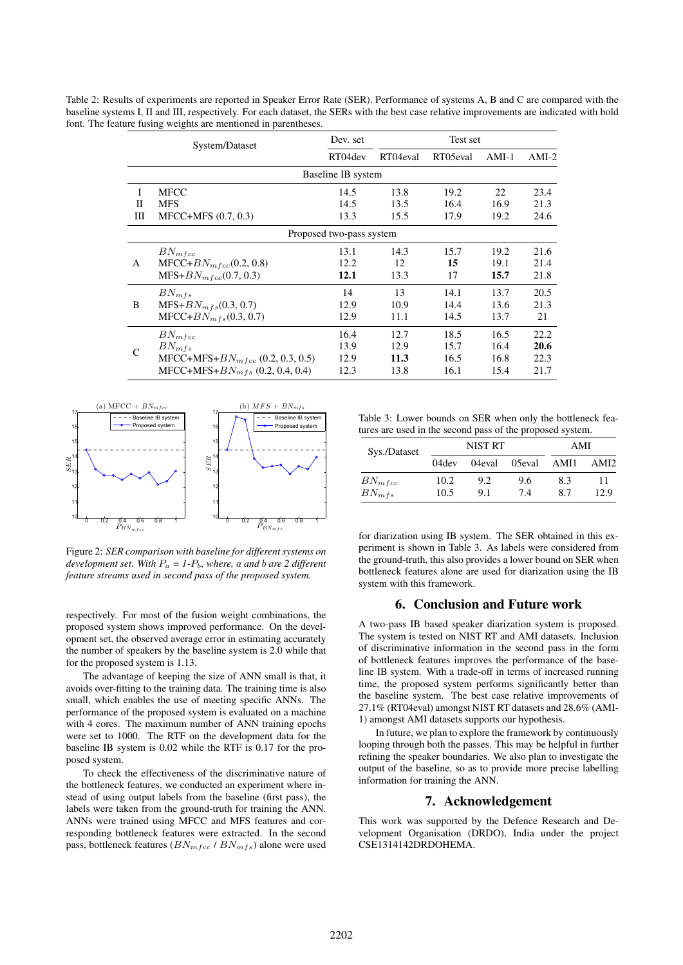Table 2: Results of experiments are reported in Speaker Error Rate (SER). Performance of systems A, B and C are compared with the baseline systems I, II and III, respectively. For each dataset, the SERs with the best case relative improvements are indicated with bold font. The feature fusing weights are mentioned in parentheses.

|                          | System/Dataset                        | Dev. set | Test set |          |         |         |  |  |  |
|--------------------------|---------------------------------------|----------|----------|----------|---------|---------|--|--|--|
|                          |                                       | RT04dev  | RT04eval | RT05eval | $AMI-1$ | $AMI-2$ |  |  |  |
| Baseline IB system       |                                       |          |          |          |         |         |  |  |  |
| Τ                        | <b>MFCC</b>                           | 14.5     | 13.8     | 19.2     | 22      | 23.4    |  |  |  |
| П                        | <b>MFS</b>                            | 14.5     | 13.5     | 16.4     | 16.9    | 21.3    |  |  |  |
| Ш                        | $MFCC+MFS (0.7, 0.3)$                 | 13.3     | 15.5     | 17.9     | 19.2    | 24.6    |  |  |  |
| Proposed two-pass system |                                       |          |          |          |         |         |  |  |  |
| A                        | $BN_{mfcc}$                           | 13.1     | 14.3     | 15.7     | 19.2    | 21.6    |  |  |  |
|                          | $MFCC+BN_{m\,fcc}(0.2, 0.8)$          | 12.2     | 12       | 15       | 19.1    | 21.4    |  |  |  |
|                          | $MFS+BN_{mfcc}(0.7, 0.3)$             | 12.1     | 13.3     | 17       | 15.7    | 21.8    |  |  |  |
| B                        | $BN_{mfs}$                            | 14       | 13       | 14.1     | 13.7    | 20.5    |  |  |  |
|                          | $MFS+BN_{mfs}(0.3, 0.7)$              | 12.9     | 10.9     | 14.4     | 13.6    | 21.3    |  |  |  |
|                          | $MFCC+BN_{mfs}(0.3, 0.7)$             | 12.9     | 11.1     | 14.5     | 13.7    | 21      |  |  |  |
| C                        | $BN_{mfcc}$                           | 16.4     | 12.7     | 18.5     | 16.5    | 22.2    |  |  |  |
|                          | $BN_{mfs}$                            | 13.9     | 12.9     | 15.7     | 16.4    | 20.6    |  |  |  |
|                          | MFCC+MFS+ $BN_{mfcc}$ (0.2, 0.3, 0.5) | 12.9     | 11.3     | 16.5     | 16.8    | 22.3    |  |  |  |
|                          | MFCC+MFS+ $BN_{mfs}$ (0.2, 0.4, 0.4)  | 12.3     | 13.8     | 16.1     | 15.4    | 21.7    |  |  |  |



Figure 2: *SER comparison with baseline for different systems on development set.* With  $P_a = I - P_b$ *, where, a and b are 2 different feature streams used in second pass of the proposed system.*

respectively. For most of the fusion weight combinations, the proposed system shows improved performance. On the development set, the observed average error in estimating accurately the number of speakers by the baseline system is 2.0 while that for the proposed system is 1.13.

The advantage of keeping the size of ANN small is that, it avoids over-fitting to the training data. The training time is also small, which enables the use of meeting specific ANNs. The performance of the proposed system is evaluated on a machine with 4 cores. The maximum number of ANN training epochs were set to 1000. The RTF on the development data for the baseline IB system is 0.02 while the RTF is 0.17 for the proposed system.

To check the effectiveness of the discriminative nature of the bottleneck features, we conducted an experiment where instead of using output labels from the baseline (first pass), the labels were taken from the ground-truth for training the ANN. ANNs were trained using MFCC and MFS features and corresponding bottleneck features were extracted. In the second pass, bottleneck features  $(BN_{mfcc} / BN_{mfs})$  alone were used

Table 3: Lower bounds on SER when only the bottleneck features are used in the second pass of the proposed system.

| Sys./Dataset | NIST RT |        |        | AMI |                  |
|--------------|---------|--------|--------|-----|------------------|
|              | 04dev   | 04eval | 05eval | AMH | AMI <sub>2</sub> |
| $BN_{mfcc}$  | 10.2    | 9.2    | 9.6    | 8.3 | 11               |
| $BN_{mfs}$   | 10.5    | 9.1    | 7.4    | 87  | 12.9             |

for diarization using IB system. The SER obtained in this experiment is shown in Table 3. As labels were considered from the ground-truth, this also provides a lower bound on SER when bottleneck features alone are used for diarization using the IB system with this framework.

### 6. Conclusion and Future work

A two-pass IB based speaker diarization system is proposed. The system is tested on NIST RT and AMI datasets. Inclusion of discriminative information in the second pass in the form of bottleneck features improves the performance of the baseline IB system. With a trade-off in terms of increased running time, the proposed system performs significantly better than the baseline system. The best case relative improvements of 27.1% (RT04eval) amongst NIST RT datasets and 28.6% (AMI-1) amongst AMI datasets supports our hypothesis.

In future, we plan to explore the framework by continuously looping through both the passes. This may be helpful in further refining the speaker boundaries. We also plan to investigate the output of the baseline, so as to provide more precise labelling information for training the ANN.

## 7. Acknowledgement

This work was supported by the Defence Research and Development Organisation (DRDO), India under the project CSE1314142DRDOHEMA.